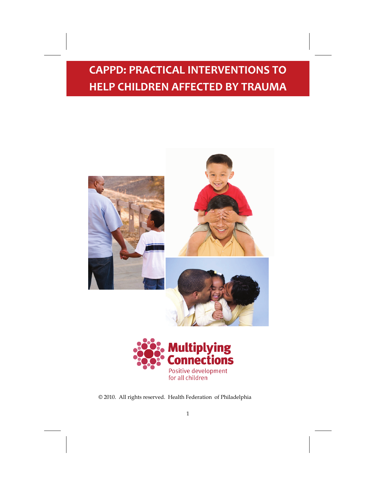**CAPPD: PRACTICAL INTERVENTIONS TO HELP CHILDREN AFFECTED BY TRAUMA**





© 2010. All rights reserved. Health Federation of Philadelphia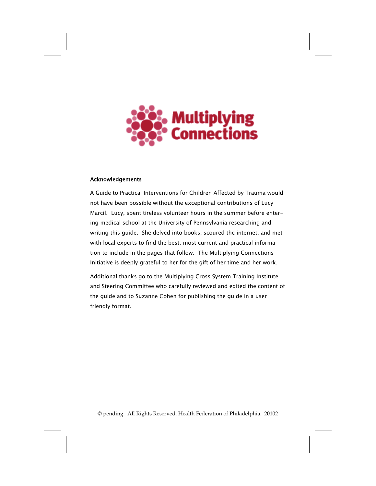

### Acknowledgements

A Guide to Practical Interventions for Children Affected by Trauma would not have been possible without the exceptional contributions of Lucy Marcil. Lucy, spent tireless volunteer hours in the summer before entering medical school at the University of Pennsylvania researching and writing this guide. She delved into books, scoured the internet, and met with local experts to find the best, most current and practical information to include in the pages that follow. The Multiplying Connections Initiative is deeply grateful to her for the gift of her time and her work.

Additional thanks go to the Multiplying Cross System Training Institute and Steering Committee who carefully reviewed and edited the content of the guide and to Suzanne Cohen for publishing the guide in a user friendly format.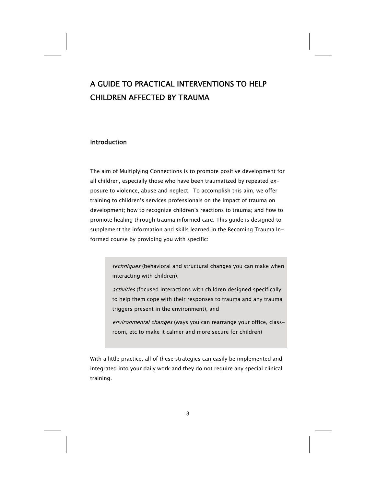# A GUIDE TO PRACTICAL INTERVENTIONS TO HELP CHILDREN AFFECTED BY TRAUMA

## Introduction

The aim of Multiplying Connections is to promote positive development for all children, especially those who have been traumatized by repeated exposure to violence, abuse and neglect. To accomplish this aim, we offer training to children's services professionals on the impact of trauma on development; how to recognize children's reactions to trauma; and how to promote healing through trauma informed care. This guide is designed to supplement the information and skills learned in the Becoming Trauma Informed course by providing you with specific:

> techniques (behavioral and structural changes you can make when interacting with children),

> activities (focused interactions with children designed specifically to help them cope with their responses to trauma and any trauma triggers present in the environment), and

environmental changes (ways you can rearrange your office, classroom, etc to make it calmer and more secure for children)

With a little practice, all of these strategies can easily be implemented and integrated into your daily work and they do not require any special clinical training.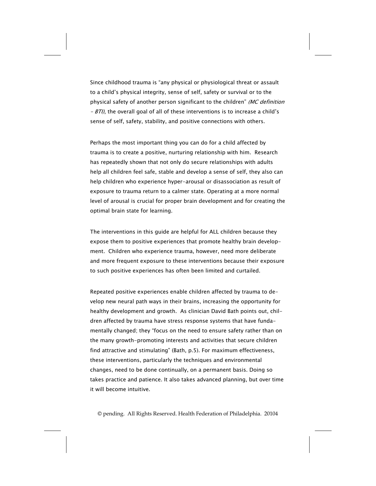Since childhood trauma is "any physical or physiological threat or assault to a child's physical integrity, sense of self, safety or survival or to the physical safety of another person significant to the children" (MC definition  $-$  BTI), the overall goal of all of these interventions is to increase a child's sense of self, safety, stability, and positive connections with others.

Perhaps the most important thing you can do for a child affected by trauma is to create a positive, nurturing relationship with him. Research has repeatedly shown that not only do secure relationships with adults help all children feel safe, stable and develop a sense of self, they also can help children who experience hyper-arousal or disassociation as result of exposure to trauma return to a calmer state. Operating at a more normal level of arousal is crucial for proper brain development and for creating the optimal brain state for learning.

The interventions in this guide are helpful for ALL children because they expose them to positive experiences that promote healthy brain development. Children who experience trauma, however, need more deliberate and more frequent exposure to these interventions because their exposure to such positive experiences has often been limited and curtailed.

Repeated positive experiences enable children affected by trauma to develop new neural path ways in their brains, increasing the opportunity for healthy development and growth. As clinician David Bath points out, children affected by trauma have stress response systems that have fundamentally changed; they "focus on the need to ensure safety rather than on the many growth-promoting interests and activities that secure children find attractive and stimulating" (Bath, p.5). For maximum effectiveness, these interventions, particularly the techniques and environmental changes, need to be done continually, on a permanent basis. Doing so takes practice and patience. It also takes advanced planning, but over time it will become intuitive.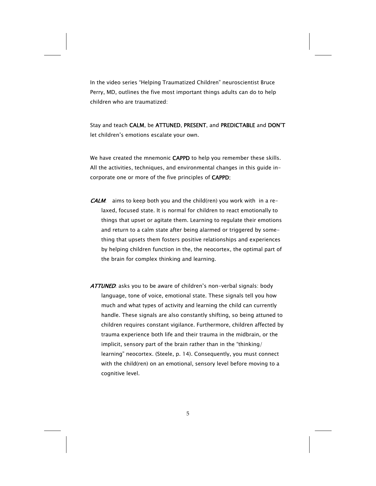In the video series "Helping Traumatized Children" neuroscientist Bruce Perry, MD, outlines the five most important things adults can do to help children who are traumatized:

Stay and teach CALM, be ATTUNED, PRESENT, and PREDICTABLE and DON'T let children's emotions escalate your own.

We have created the mnemonic CAPPD to help you remember these skills. All the activities, techniques, and environmental changes in this guide incorporate one or more of the five principles of CAPPD:

- **CALM:** aims to keep both you and the child(ren) you work with in a relaxed, focused state. It is normal for children to react emotionally to things that upset or agitate them. Learning to regulate their emotions and return to a calm state after being alarmed or triggered by something that upsets them fosters positive relationships and experiences by helping children function in the, the neocortex, the optimal part of the brain for complex thinking and learning.
- ATTUNED. asks you to be aware of children's non-verbal signals: body language, tone of voice, emotional state. These signals tell you how much and what types of activity and learning the child can currently handle. These signals are also constantly shifting, so being attuned to children requires constant vigilance. Furthermore, children affected by trauma experience both life and their trauma in the midbrain, or the implicit, sensory part of the brain rather than in the "thinking/ learning" neocortex. (Steele, p. 14). Consequently, you must connect with the child(ren) on an emotional, sensory level before moving to a cognitive level.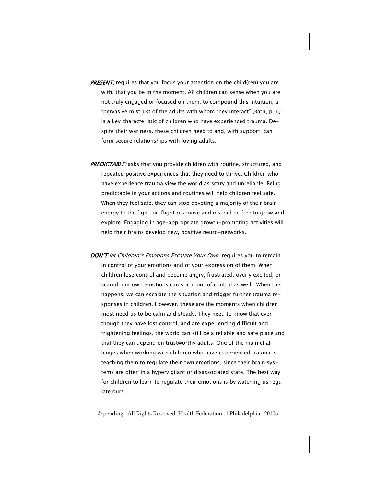- **PRESENT:** requires that you focus your attention on the child(ren) you are with, that you be in the moment. All children can sense when you are not truly engaged or focused on them; to compound this intuition, a "pervasive mistrust of the adults with whom they interact" (Bath, p. 6) is a key characteristic of children who have experienced trauma. Despite their wariness, these children need to and, with support, can form secure relationships with loving adults.
- PREDICTABLE: asks that you provide children with routine, structured, and repeated positive experiences that they need to thrive. Children who have experience trauma view the world as scary and unreliable. Being predictable in your actions and routines will help children feel safe. When they feel safe, they can stop devoting a majority of their brain energy to the fight-or-flight response and instead be free to grow and explore. Engaging in age-appropriate growth-promoting activities will help their brains develop new, positive neuro-networks.
- DON'T let Children's Emotions Escalate Your Own: requires you to remain in control of your emotions and of your expression of them. When children lose control and become angry, frustrated, overly excited, or scared, our own emotions can spiral out of control as well. When this happens, we can escalate the situation and trigger further trauma responses in children. However, these are the moments when children most need us to be calm and steady. They need to know that even though they have lost control, and are experiencing difficult and frightening feelings, the world can still be a reliable and safe place and that they can depend on trustworthy adults. One of the main challenges when working with children who have experienced trauma is teaching them to regulate their own emotions, since their brain systems are often in a hypervigilant or disassociated state. The best way for children to learn to regulate their emotions is by watching us regulate ours.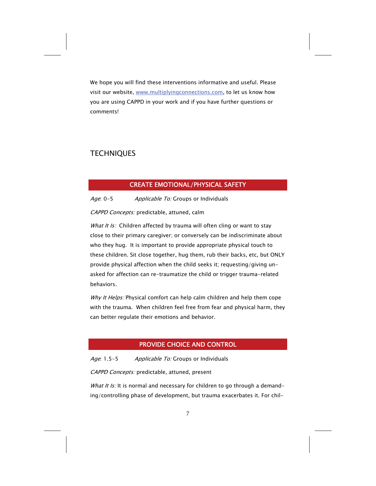We hope you will find these interventions informative and useful. Please visit our website, [www.multiplyingconnections.com](http://www.multiplyingconnections.com), to let us know how you are using CAPPD in your work and if you have further questions or comments!

## **TECHNIQUES**

### CREATE EMOTIONAL/PHYSICAL SAFETY

### Age: 0-5 Applicable To: Groups or Individuals

CAPPD Concepts: predictable, attuned, calm

What It Is: Children affected by trauma will often cling or want to stay close to their primary caregiver; or conversely can be indiscriminate about who they hug. It is important to provide appropriate physical touch to these children. Sit close together, hug them, rub their backs, etc, but ONLY provide physical affection when the child seeks it; requesting/giving unasked for affection can re-traumatize the child or trigger trauma-related behaviors.

Why It Helps: Physical comfort can help calm children and help them cope with the trauma. When children feel free from fear and physical harm, they can better regulate their emotions and behavior.

## PROVIDE CHOICE AND CONTROL

Age: 1.5-5 Applicable To: Groups or Individuals

CAPPD Concepts: predictable, attuned, present

What It Is: It is normal and necessary for children to go through a demanding/controlling phase of development, but trauma exacerbates it. For chil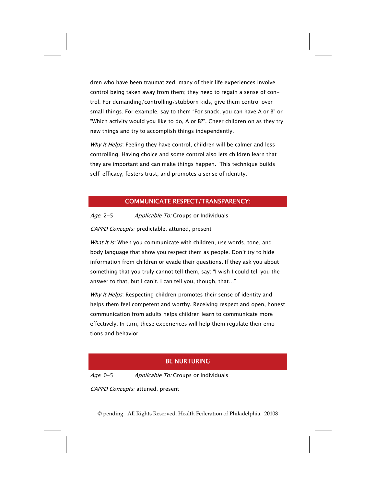dren who have been traumatized, many of their life experiences involve control being taken away from them; they need to regain a sense of control. For demanding/controlling/stubborn kids, give them control over small things. For example, say to them "For snack, you can have A or B" or "Which activity would you like to do, A or B?". Cheer children on as they try new things and try to accomplish things independently.

Why It Helps: Feeling they have control, children will be calmer and less controlling. Having choice and some control also lets children learn that they are important and can make things happen. This technique builds self-efficacy, fosters trust, and promotes a sense of identity.

### COMMUNICATE RESPECT/TRANSPARENCY:

Age: 2-5 Applicable To: Groups or Individuals

CAPPD Concepts: predictable, attuned, present

What It Is: When you communicate with children, use words, tone, and body language that show you respect them as people. Don't try to hide information from children or evade their questions. If they ask you about something that you truly cannot tell them, say: "I wish I could tell you the answer to that, but I can't. I can tell you, though, that…"

Why It Helps: Respecting children promotes their sense of identity and helps them feel competent and worthy. Receiving respect and open, honest communication from adults helps children learn to communicate more effectively. In turn, these experiences will help them regulate their emotions and behavior.

### BE NURTURING

Age: 0-5 Applicable To: Groups or Individuals

CAPPD Concepts: attuned, present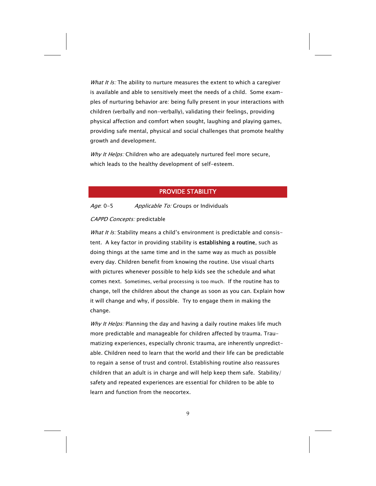What It Is: The ability to nurture measures the extent to which a caregiver is available and able to sensitively meet the needs of a child. Some examples of nurturing behavior are: being fully present in your interactions with children (verbally and non-verbally), validating their feelings, providing physical affection and comfort when sought, laughing and playing games, providing safe mental, physical and social challenges that promote healthy growth and development.

Why It Helps: Children who are adequately nurtured feel more secure, which leads to the healthy development of self-esteem.

### PROVIDE STABILITY

### Age: 0-5 Applicable To: Groups or Individuals

### CAPPD Concepts: predictable

What It Is: Stability means a child's environment is predictable and consistent. A key factor in providing stability is establishing a routine, such as doing things at the same time and in the same way as much as possible every day. Children benefit from knowing the routine. Use visual charts with pictures whenever possible to help kids see the schedule and what comes next. Sometimes, verbal processing is too much. If the routine has to change, tell the children about the change as soon as you can. Explain how it will change and why, if possible. Try to engage them in making the change.

Why It Helps: Planning the day and having a daily routine makes life much more predictable and manageable for children affected by trauma. Traumatizing experiences, especially chronic trauma, are inherently unpredictable. Children need to learn that the world and their life can be predictable to regain a sense of trust and control. Establishing routine also reassures children that an adult is in charge and will help keep them safe. Stability/ safety and repeated experiences are essential for children to be able to learn and function from the neocortex.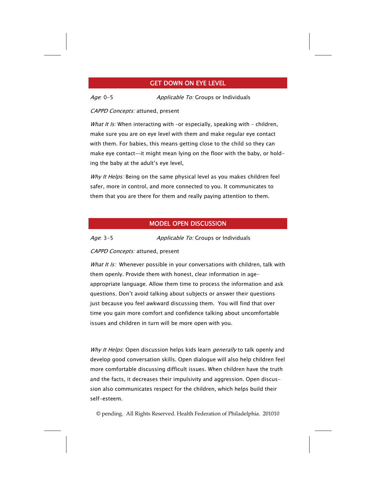### GET DOWN ON EYE LEVEL

Age: 0-5 Applicable To: Groups or Individuals

#### CAPPD Concepts: attuned, present

What It Is: When interacting with -or especially, speaking with - children, make sure you are on eye level with them and make regular eye contact with them. For babies, this means getting close to the child so they can make eye contact—it might mean lying on the floor with the baby, or holding the baby at the adult's eye level,

Why It Helps: Being on the same physical level as you makes children feel safer, more in control, and more connected to you. It communicates to them that you are there for them and really paying attention to them.

### MODEL OPEN DISCUSSION

Age: 3-5 Applicable To: Groups or Individuals

### CAPPD Concepts: attuned, present

What It Is: Whenever possible in your conversations with children, talk with them openly. Provide them with honest, clear information in ageappropriate language. Allow them time to process the information and ask questions. Don't avoid talking about subjects or answer their questions just because you feel awkward discussing them. You will find that over time you gain more comfort and confidence talking about uncomfortable issues and children in turn will be more open with you.

Why It Helps: Open discussion helps kids learn generally to talk openly and develop good conversation skills. Open dialogue will also help children feel more comfortable discussing difficult issues. When children have the truth and the facts, it decreases their impulsivity and aggression. Open discussion also communicates respect for the children, which helps build their self-esteem.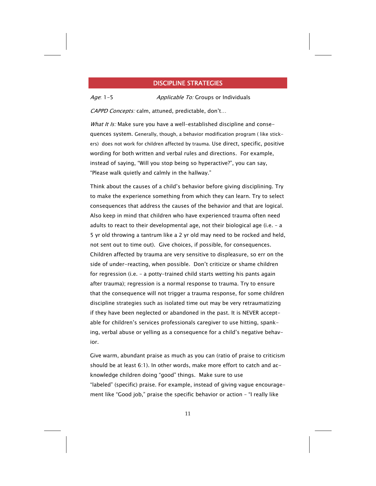### DISCIPLINE STRATEGIES

Age: 1-5 Applicable To: Groups or Individuals

CAPPD Concepts: calm, attuned, predictable, don't...

What It Is: Make sure you have a well-established discipline and consequences system. Generally, though, a behavior modification program ( like stickers) does not work for children affected by trauma. Use direct, specific, positive wording for both written and verbal rules and directions. For example, instead of saying, "Will you stop being so hyperactive?", you can say, "Please walk quietly and calmly in the hallway."

Think about the causes of a child's behavior before giving disciplining. Try to make the experience something from which they can learn. Try to select consequences that address the causes of the behavior and that are logical. Also keep in mind that children who have experienced trauma often need adults to react to their developmental age, not their biological age (i.e. – a 5 yr old throwing a tantrum like a 2 yr old may need to be rocked and held, not sent out to time out). Give choices, if possible, for consequences. Children affected by trauma are very sensitive to displeasure, so err on the side of under-reacting, when possible. Don't criticize or shame children for regression (i.e. – a potty-trained child starts wetting his pants again after trauma); regression is a normal response to trauma. Try to ensure that the consequence will not trigger a trauma response, for some children discipline strategies such as isolated time out may be very retraumatizing if they have been neglected or abandoned in the past. It is NEVER acceptable for children's services professionals caregiver to use hitting, spanking, verbal abuse or yelling as a consequence for a child's negative behavior.

Give warm, abundant praise as much as you can (ratio of praise to criticism should be at least 6:1). In other words, make more effort to catch and acknowledge children doing "good" things. Make sure to use "labeled" (specific) praise. For example, instead of giving vague encouragement like "Good job," praise the specific behavior or action – "I really like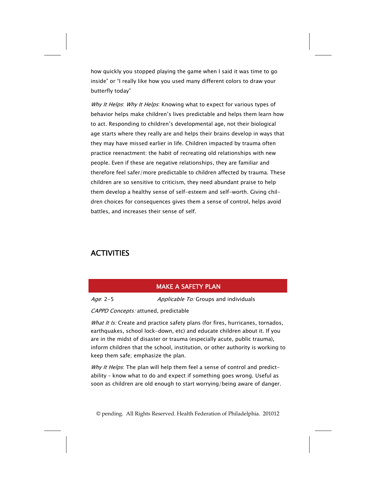how quickly you stopped playing the game when I said it was time to go inside" or "I really like how you used many different colors to draw your butterfly today"

Why It Helps: Why It Helps: Knowing what to expect for various types of behavior helps make children's lives predictable and helps them learn how to act. Responding to children's developmental age, not their biological age starts where they really are and helps their brains develop in ways that they may have missed earlier in life. Children impacted by trauma often practice reenactment: the habit of recreating old relationships with new people. Even if these are negative relationships, they are familiar and therefore feel safer/more predictable to children affected by trauma. These children are so sensitive to criticism, they need abundant praise to help them develop a healthy sense of self-esteem and self-worth. Giving children choices for consequences gives them a sense of control, helps avoid battles, and increases their sense of self.

# **ACTIVITIES**

### MAKE A SAFETY PLAN

Age: 2-5 Applicable To: Groups and individuals

CAPPD Concepts: attuned, predictable

What It Is: Create and practice safety plans (for fires, hurricanes, tornados, earthquakes, school lock-down, etc) and educate children about it. If you are in the midst of disaster or trauma (especially acute, public trauma), inform children that the school, institution, or other authority is working to keep them safe; emphasize the plan.

Why It Helps: The plan will help them feel a sense of control and predictability – know what to do and expect if something goes wrong. Useful as soon as children are old enough to start worrying/being aware of danger.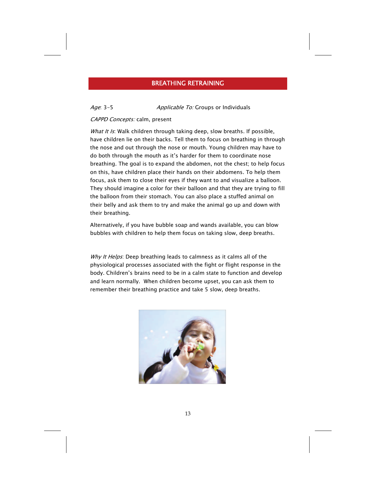### BREATHING RETRAINING

### Age: 3-5 Applicable To: Groups or Individuals

#### CAPPD Concepts: calm, present

What It Is: Walk children through taking deep, slow breaths. If possible, have children lie on their backs. Tell them to focus on breathing in through the nose and out through the nose or mouth. Young children may have to do both through the mouth as it's harder for them to coordinate nose breathing. The goal is to expand the abdomen, not the chest; to help focus on this, have children place their hands on their abdomens. To help them focus, ask them to close their eyes if they want to and visualize a balloon. They should imagine a color for their balloon and that they are trying to fill the balloon from their stomach. You can also place a stuffed animal on their belly and ask them to try and make the animal go up and down with their breathing.

Alternatively, if you have bubble soap and wands available, you can blow bubbles with children to help them focus on taking slow, deep breaths.

Why It Helps: Deep breathing leads to calmness as it calms all of the physiological processes associated with the fight or flight response in the body. Children's brains need to be in a calm state to function and develop and learn normally. When children become upset, you can ask them to remember their breathing practice and take 5 slow, deep breaths.

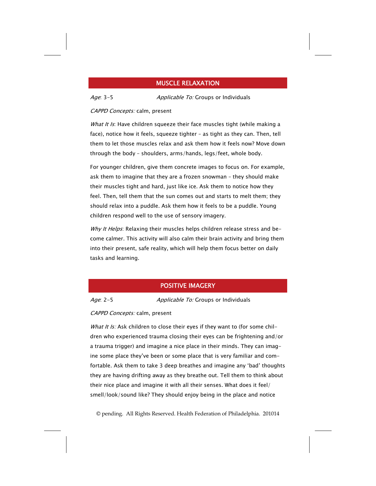### MUSCLE RELAXATION

Age: 3-5 Applicable To: Groups or Individuals

#### CAPPD Concepts: calm, present

What It Is: Have children squeeze their face muscles tight (while making a face), notice how it feels, squeeze tighter – as tight as they can. Then, tell them to let those muscles relax and ask them how it feels now? Move down through the body – shoulders, arms/hands, legs/feet, whole body.

For younger children, give them concrete images to focus on. For example, ask them to imagine that they are a frozen snowman – they should make their muscles tight and hard, just like ice. Ask them to notice how they feel. Then, tell them that the sun comes out and starts to melt them; they should relax into a puddle. Ask them how it feels to be a puddle. Young children respond well to the use of sensory imagery.

Why It Helps: Relaxing their muscles helps children release stress and become calmer. This activity will also calm their brain activity and bring them into their present, safe reality, which will help them focus better on daily tasks and learning.

### POSITIVE IMAGERY

Age: 2-5 Applicable To: Groups or Individuals

CAPPD Concepts: calm, present

What It Is: Ask children to close their eyes if they want to (for some children who experienced trauma closing their eyes can be frightening and/or a trauma trigger) and imagine a nice place in their minds. They can imagine some place they've been or some place that is very familiar and comfortable. Ask them to take 3 deep breathes and imagine any 'bad' thoughts they are having drifting away as they breathe out. Tell them to think about their nice place and imagine it with all their senses. What does it feel/ smell/look/sound like? They should enjoy being in the place and notice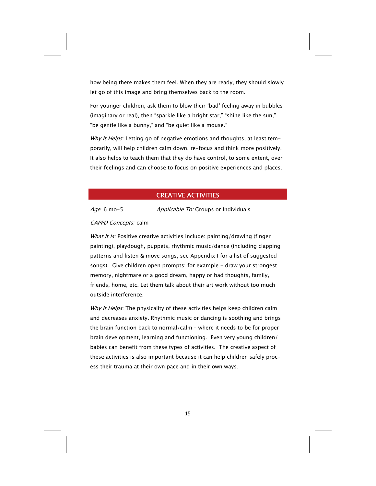how being there makes them feel. When they are ready, they should slowly let go of this image and bring themselves back to the room.

For younger children, ask them to blow their 'bad' feeling away in bubbles (imaginary or real), then "sparkle like a bright star," "shine like the sun," "be gentle like a bunny," and "be quiet like a mouse."

Why It Helps: Letting go of negative emotions and thoughts, at least temporarily, will help children calm down, re-focus and think more positively. It also helps to teach them that they do have control, to some extent, over their feelings and can choose to focus on positive experiences and places.

### CREATIVE ACTIVITIES

Age: 6 mo-5 Applicable To: Groups or Individuals

#### CAPPD Concepts: calm

What It Is: Positive creative activities include: painting/drawing (finger painting), playdough, puppets, rhythmic music/dance (including clapping patterns and listen & move songs; see Appendix I for a list of suggested songs). Give children open prompts; for example - draw your strongest memory, nightmare or a good dream, happy or bad thoughts, family, friends, home, etc. Let them talk about their art work without too much outside interference.

Why It Helps: The physicality of these activities helps keep children calm and decreases anxiety. Rhythmic music or dancing is soothing and brings the brain function back to normal/calm – where it needs to be for proper brain development, learning and functioning. Even very young children/ babies can benefit from these types of activities. The creative aspect of these activities is also important because it can help children safely process their trauma at their own pace and in their own ways.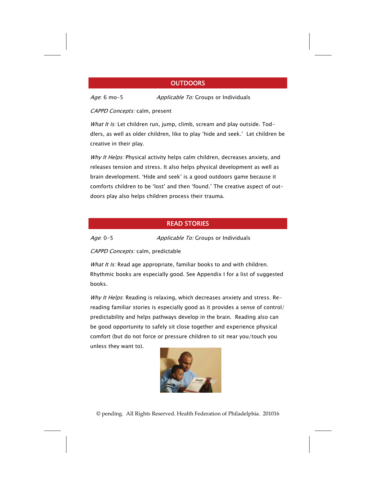### **OUTDOORS**

Age: 6 mo-5 Applicable To: Groups or Individuals

CAPPD Concepts: calm, present

What It Is: Let children run, jump, climb, scream and play outside. Toddlers, as well as older children, like to play 'hide and seek.' Let children be creative in their play.

Why It Helps: Physical activity helps calm children, decreases anxiety, and releases tension and stress. It also helps physical development as well as brain development. 'Hide and seek' is a good outdoors game because it comforts children to be 'lost' and then 'found.' The creative aspect of outdoors play also helps children process their trauma.

### READ STORIES

Age: 0-5 Applicable To: Groups or Individuals

CAPPD Concepts: calm, predictable

What It Is: Read age appropriate, familiar books to and with children. Rhythmic books are especially good. See Appendix I for a list of suggested books.

Why It Helps: Reading is relaxing, which decreases anxiety and stress. Rereading familiar stories is especially good as it provides a sense of control/ predictability and helps pathways develop in the brain. Reading also can be good opportunity to safely sit close together and experience physical comfort (but do not force or pressure children to sit near you/touch you unless they want to).

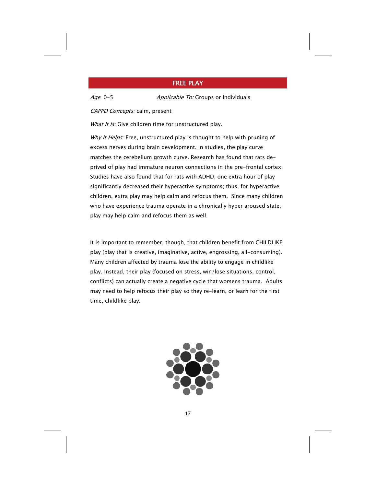### FREE PLAY

Age: 0-5 Applicable To: Groups or Individuals

CAPPD Concepts: calm, present

What It Is: Give children time for unstructured play.

Why It Helps: Free, unstructured play is thought to help with pruning of excess nerves during brain development. In studies, the play curve matches the cerebellum growth curve. Research has found that rats deprived of play had immature neuron connections in the pre-frontal cortex. Studies have also found that for rats with ADHD, one extra hour of play significantly decreased their hyperactive symptoms; thus, for hyperactive children, extra play may help calm and refocus them. Since many children who have experience trauma operate in a chronically hyper aroused state, play may help calm and refocus them as well.

It is important to remember, though, that children benefit from CHILDLIKE play (play that is creative, imaginative, active, engrossing, all-consuming). Many children affected by trauma lose the ability to engage in childlike play. Instead, their play (focused on stress, win/lose situations, control, conflicts) can actually create a negative cycle that worsens trauma. Adults may need to help refocus their play so they re-learn, or learn for the first time, childlike play.

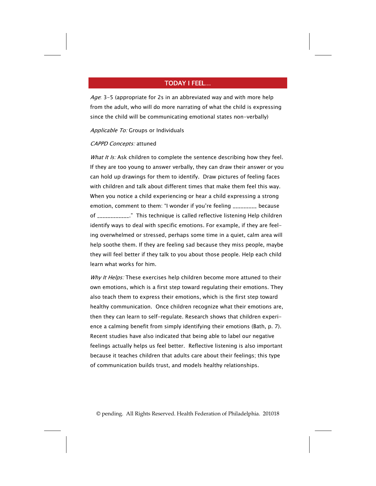### TODAY I FEEL…

Age: 3-5 (appropriate for 2s in an abbreviated way and with more help from the adult, who will do more narrating of what the child is expressing since the child will be communicating emotional states non-verbally)

#### Applicable To: Groups or Individuals

#### CAPPD Concepts: attuned

What It Is: Ask children to complete the sentence describing how they feel. If they are too young to answer verbally, they can draw their answer or you can hold up drawings for them to identify. Draw pictures of feeling faces with children and talk about different times that make them feel this way. When you notice a child experiencing or hear a child expressing a strong emotion, comment to them: "I wonder if you're feeling \_\_\_\_\_\_\_\_\_ because of \_\_\_\_\_\_\_\_\_\_\_\_." This technique is called reflective listening Help children identify ways to deal with specific emotions. For example, if they are feeling overwhelmed or stressed, perhaps some time in a quiet, calm area will help soothe them. If they are feeling sad because they miss people, maybe they will feel better if they talk to you about those people. Help each child learn what works for him.

Why It Helps: These exercises help children become more attuned to their own emotions, which is a first step toward regulating their emotions. They also teach them to express their emotions, which is the first step toward healthy communication. Once children recognize what their emotions are, then they can learn to self-regulate. Research shows that children experience a calming benefit from simply identifying their emotions (Bath, p. 7). Recent studies have also indicated that being able to label our negative feelings actually helps us feel better. Reflective listening is also important because it teaches children that adults care about their feelings; this type of communication builds trust, and models healthy relationships.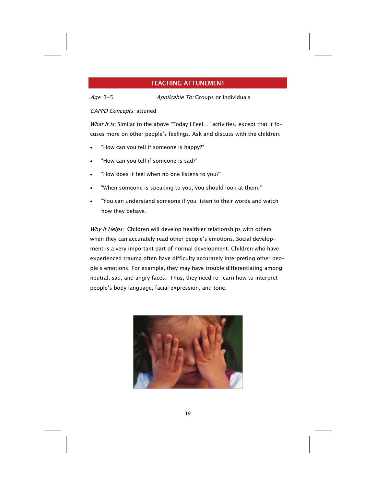### TEACHING ATTUNEMENT

Age: 3-5 Applicable To: Groups or Individuals

### CAPPD Concepts: attuned

What It Is: Similar to the above 'Today I Feel..." activities, except that it focuses more on other people's feelings. Ask and discuss with the children:

- "How can you tell if someone is happy?"
- "How can you tell if someone is sad?"
- "How does it feel when no one listens to you?"
- "When someone is speaking to you, you should look at them."
- "You can understand someone if you listen to their words and watch how they behave.

Why It Helps: Children will develop healthier relationships with others when they can accurately read other people's emotions. Social development is a very important part of normal development. Children who have experienced trauma often have difficulty accurately interpreting other people's emotions. For example, they may have trouble differentiating among neutral, sad, and angry faces. Thus, they need re-learn how to interpret people's body language, facial expression, and tone.

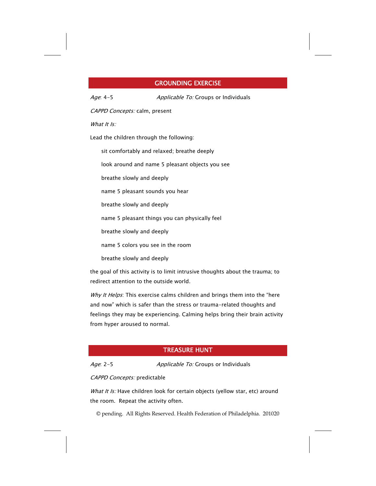### GROUNDING EXERCISE

Age: 4-5 Applicable To: Groups or Individuals

CAPPD Concepts: calm, present

What It Is:

Lead the children through the following:

sit comfortably and relaxed; breathe deeply

look around and name 5 pleasant objects you see

breathe slowly and deeply

name 5 pleasant sounds you hear

breathe slowly and deeply

name 5 pleasant things you can physically feel

breathe slowly and deeply

name 5 colors you see in the room

breathe slowly and deeply

the goal of this activity is to limit intrusive thoughts about the trauma; to redirect attention to the outside world.

Why It Helps: This exercise calms children and brings them into the "here and now" which is safer than the stress or trauma-related thoughts and feelings they may be experiencing. Calming helps bring their brain activity from hyper aroused to normal.

## TREASURE HUNT

Age: 2-5 Applicable To: Groups or Individuals

#### CAPPD Concepts: predictable

What It Is: Have children look for certain objects (yellow star, etc) around the room. Repeat the activity often.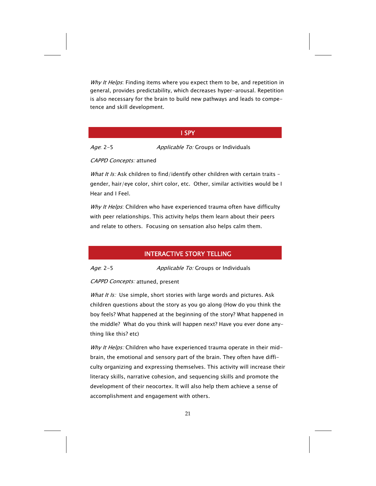Why It Helps: Finding items where you expect them to be, and repetition in general, provides predictability, which decreases hyper-arousal. Repetition is also necessary for the brain to build new pathways and leads to competence and skill development.

### I SPY

Age: 2-5 Applicable To: Groups or Individuals

CAPPD Concepts: attuned

What It Is: Ask children to find/identify other children with certain traits gender, hair/eye color, shirt color, etc. Other, similar activities would be I Hear and I Feel.

Why It Helps: Children who have experienced trauma often have difficulty with peer relationships. This activity helps them learn about their peers and relate to others. Focusing on sensation also helps calm them.

### INTERACTIVE STORY TELLING

Age: 2-5 Applicable To: Groups or Individuals

CAPPD Concepts: attuned, present

What It Is: Use simple, short stories with large words and pictures. Ask children questions about the story as you go along (How do you think the boy feels? What happened at the beginning of the story? What happened in the middle? What do you think will happen next? Have you ever done anything like this? etc)

Why It Helps: Children who have experienced trauma operate in their midbrain, the emotional and sensory part of the brain. They often have difficulty organizing and expressing themselves. This activity will increase their literacy skills, narrative cohesion, and sequencing skills and promote the development of their neocortex. It will also help them achieve a sense of accomplishment and engagement with others.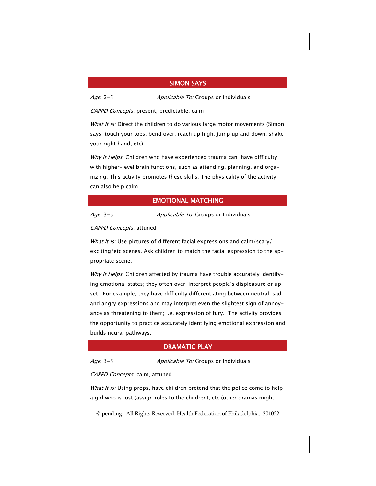### SIMON SAYS

Age: 2-5 Applicable To: Groups or Individuals

CAPPD Concepts: present, predictable, calm

What It Is: Direct the children to do various large motor movements (Simon says: touch your toes, bend over, reach up high, jump up and down, shake your right hand, etc).

Why It Helps: Children who have experienced trauma can have difficulty with higher-level brain functions, such as attending, planning, and organizing. This activity promotes these skills. The physicality of the activity can also help calm

### EMOTIONAL MATCHING

Age: 3-5 Applicable To: Groups or Individuals

CAPPD Concepts: attuned

What It Is: Use pictures of different facial expressions and calm/scary/ exciting/etc scenes. Ask children to match the facial expression to the appropriate scene.

Why It Helps: Children affected by trauma have trouble accurately identifying emotional states; they often over-interpret people's displeasure or upset. For example, they have difficulty differentiating between neutral, sad and angry expressions and may interpret even the slightest sign of annoyance as threatening to them; i.e. expression of fury. The activity provides the opportunity to practice accurately identifying emotional expression and builds neural pathways.

### DRAMATIC PLAY

Age: 3-5 Applicable To: Groups or Individuals

### CAPPD Concepts: calm, attuned

What It Is: Using props, have children pretend that the police come to help a girl who is lost (assign roles to the children), etc (other dramas might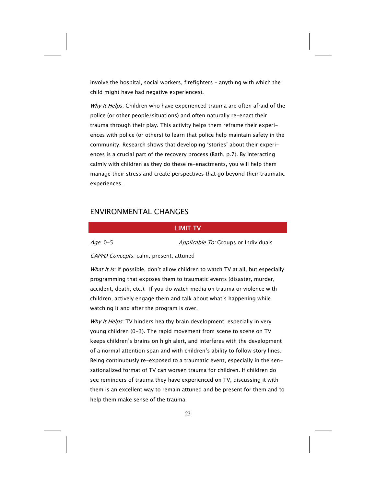involve the hospital, social workers, firefighters – anything with which the child might have had negative experiences).

Why It Helps: Children who have experienced trauma are often afraid of the police (or other people/situations) and often naturally re-enact their trauma through their play. This activity helps them reframe their experiences with police (or others) to learn that police help maintain safety in the community. Research shows that developing 'stories' about their experiences is a crucial part of the recovery process (Bath, p.7). By interacting calmly with children as they do these re-enactments, you will help them manage their stress and create perspectives that go beyond their traumatic experiences.

## ENVIRONMENTAL CHANGES

### LIMIT TV

Age: 0-5 Applicable To: Groups or Individuals

CAPPD Concepts: calm, present, attuned

What It Is: If possible, don't allow children to watch TV at all, but especially programming that exposes them to traumatic events (disaster, murder, accident, death, etc.). If you do watch media on trauma or violence with children, actively engage them and talk about what's happening while watching it and after the program is over.

Why It Helps: TV hinders healthy brain development, especially in very young children (0-3). The rapid movement from scene to scene on TV keeps children's brains on high alert, and interferes with the development of a normal attention span and with children's ability to follow story lines. Being continuously re-exposed to a traumatic event, especially in the sensationalized format of TV can worsen trauma for children. If children do see reminders of trauma they have experienced on TV, discussing it with them is an excellent way to remain attuned and be present for them and to help them make sense of the trauma.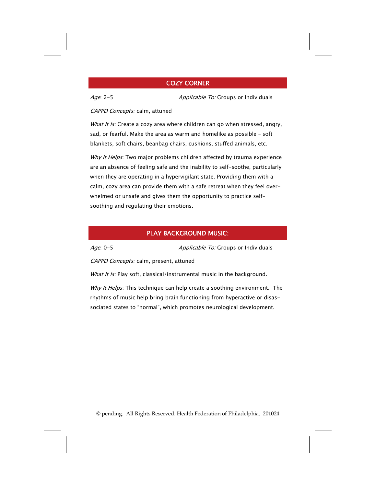### COZY CORNER

Age: 2-5 Applicable To: Groups or Individuals

CAPPD Concepts: calm, attuned

What It Is: Create a cozy area where children can go when stressed, angry, sad, or fearful. Make the area as warm and homelike as possible – soft blankets, soft chairs, beanbag chairs, cushions, stuffed animals, etc.

Why It Helps: Two major problems children affected by trauma experience are an absence of feeling safe and the inability to self-soothe, particularly when they are operating in a hypervigilant state. Providing them with a calm, cozy area can provide them with a safe retreat when they feel overwhelmed or unsafe and gives them the opportunity to practice selfsoothing and regulating their emotions.

### PLAY BACKGROUND MUSIC:

Age: 0-5 Applicable To: Groups or Individuals

CAPPD Concepts: calm, present, attuned

What It Is: Play soft, classical/instrumental music in the background.

Why It Helps: This technique can help create a soothing environment. The rhythms of music help bring brain functioning from hyperactive or disassociated states to "normal", which promotes neurological development.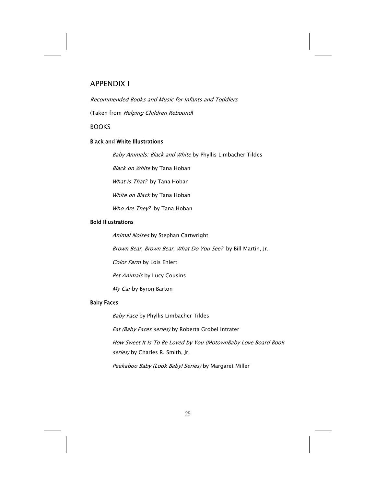## APPENDIX I

Recommended Books and Music for Infants and Toddlers

(Taken from Helping Children Rebound)

BOOKS

### Black and White Illustrations

Baby Animals: Black and White by Phyllis Limbacher Tildes

**Black on White by Tana Hoban** 

What is That? by Tana Hoban

White on Black by Tana Hoban

Who Are They? by Tana Hoban

#### Bold Illustrations

Animal Noises by Stephan Cartwright

Brown Bear, Brown Bear, What Do You See? by Bill Martin, Jr.

Color Farm by Lois Ehlert

Pet Animals by Lucy Cousins

My Car by Byron Barton

#### Baby Faces

Baby Face by Phyllis Limbacher Tildes

Eat (Baby Faces series) by Roberta Grobel Intrater

How Sweet It Is To Be Loved by You (MotownBaby Love Board Book series) by Charles R. Smith, Jr.

Peekaboo Baby (Look Baby! Series) by Margaret Miller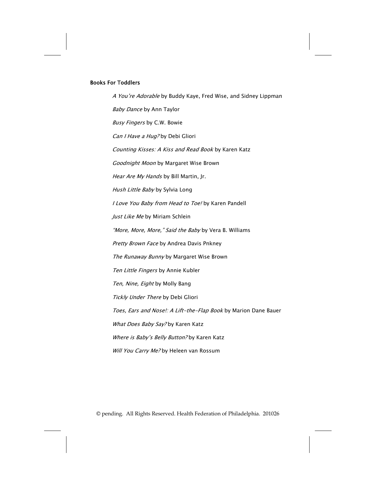#### Books For Toddlers

A You're Adorable by Buddy Kaye, Fred Wise, and Sidney Lippman Baby Dance by Ann Taylor Busy Fingers by C.W. Bowie Can I Have a Hug? by Debi Gliori Counting Kisses: A Kiss and Read Book by Karen Katz Goodnight Moon by Margaret Wise Brown Hear Are My Hands by Bill Martin, Jr. Hush Little Baby by Sylvia Long I Love You Baby from Head to Toe! by Karen Pandell Just Like Me by Miriam Schlein "More, More, More," Said the Baby by Vera B. Williams Pretty Brown Face by Andrea Davis Pnkney The Runaway Bunny by Margaret Wise Brown Ten Little Fingers by Annie Kubler Ten, Nine, Eight by Molly Bang Tickly Under There by Debi Gliori Toes, Ears and Nose!: A Lift-the-Flap Book by Marion Dane Bauer What Does Baby Say? by Karen Katz Where is Baby's Belly Button? by Karen Katz Will You Carry Me? by Heleen van Rossum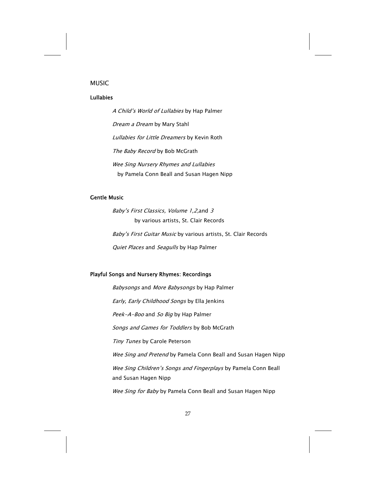### MUSIC

### Lullabies

A Child's World of Lullabies by Hap Palmer Dream a Dream by Mary Stahl Lullabies for Little Dreamers by Kevin Roth The Baby Record by Bob McGrath Wee Sing Nursery Rhymes and Lullabies by Pamela Conn Beall and Susan Hagen Nipp

### Gentle Music

Baby's First Classics, Volume 1,2,and 3 by various artists, St. Clair Records Baby's First Guitar Music by various artists, St. Clair Records Quiet Places and Seagulls by Hap Palmer

### Playful Songs and Nursery Rhymes: Recordings

Babysongs and More Babysongs by Hap Palmer Early, Early Childhood Songs by Ella Jenkins Peek-A-Boo and So Big by Hap Palmer Songs and Games for Toddlers by Bob McGrath Tiny Tunes by Carole Peterson Wee Sing and Pretend by Pamela Conn Beall and Susan Hagen Nipp Wee Sing Children's Songs and Fingerplays by Pamela Conn Beall and Susan Hagen Nipp Wee Sing for Baby by Pamela Conn Beall and Susan Hagen Nipp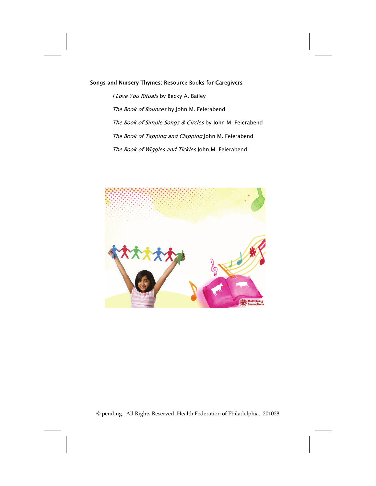### Songs and Nursery Thymes: Resource Books for Caregivers

I Love You Rituals by Becky A. Bailey The Book of Bounces by John M. Feierabend The Book of Simple Songs & Circles by John M. Feierabend The Book of Tapping and Clapping John M. Feierabend The Book of Wiggles and Tickles John M. Feierabend



© pending. All Rights Reserved. Health Federation of Philadelphia. 201028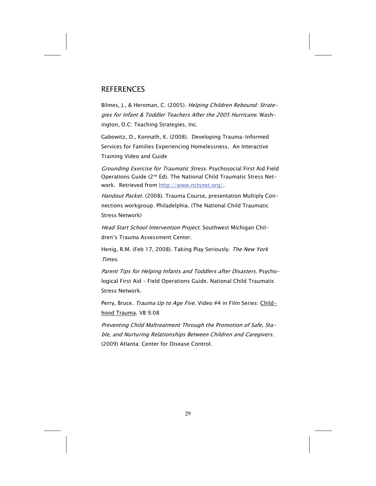## **REFERENCES**

Bilmes, J., & Heroman, C. (2005). Helping Children Rebound: Strategies for Infant & Toddler Teachers After the 2005 Hurricane. Washington, D.C: Teaching Strategies, Inc.

Gabowitz, D., Konnath, K. (2008). Developing Trauma-Informed Services for Families Experiencing Homelessness. An Interactive Training Video and Guide

Grounding Exercise for Traumatic Stress. Psychosocial First Aid Field Operations Guide (2<sup>nd</sup> Ed). The National Child Traumatic Stress Network. Retrieved from [http://www.nctsnet.org/.](http://www.nctsnet.org/)

Handout Packet. (2008). Trauma Course, presentation Multiply Connections workgroup. Philadelphia. (The National Child Traumatic Stress Network)

Head Start School Intervention Project. Southwest Michigan Children's Trauma Assessment Center.

Henig, R.M. (Feb 17, 2008). Taking Play Seriously. The New York Times.

Parent Tips for Helping Infants and Toddlers after Disasters. Psychological First Aid – Field Operations Guide. National Child Traumatic Stress Network.

Perry, Bruce. Trauma Up to Age Five. Video #4 in Film Series: Childhood Trauma. VB 9.08

Preventing Child Maltreatment Through the Promotion of Safe, Stable, and Nurturing Relationships Between Children and Caregivers. (2009) Atlanta: Center for Disease Control.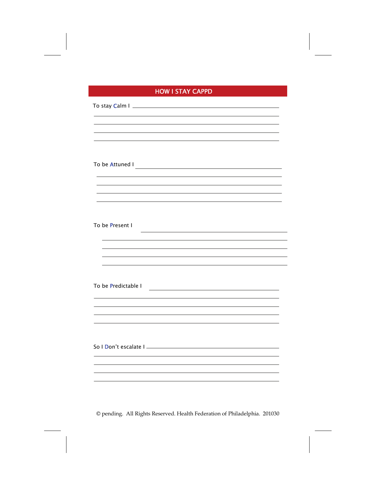# HOW I STAY CAPPD

| To stay Calm I                                                                     |
|------------------------------------------------------------------------------------|
|                                                                                    |
|                                                                                    |
|                                                                                    |
|                                                                                    |
| ,我们也不能在这里,我们也不能在这里的时候,我们也不能会在这里,我们也不能会在这里,我们也不能会在这里的时候,我们也不能会在这里的时候,我们也不能会在这里,我们   |
|                                                                                    |
| To be Present I                                                                    |
|                                                                                    |
|                                                                                    |
| To be Predictable I<br><u> 1980 - Andrea Barbara, amerikan personal (h. 1980).</u> |
|                                                                                    |
|                                                                                    |
|                                                                                    |
|                                                                                    |
|                                                                                    |
|                                                                                    |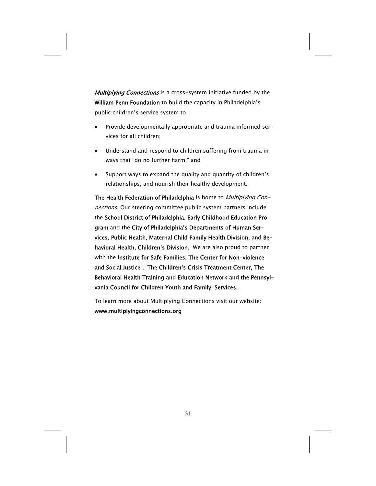**Multiplying Connections** is a cross-system initiative funded by the William Penn Foundation to build the capacity in Philadelphia's public children's service system to

- Provide developmentally appropriate and trauma informed services for all children;
- Understand and respond to children suffering from trauma in ways that "do no further harm;" and
- Support ways to expand the quality and quantity of children's relationships, and nourish their healthy development.

The Health Federation of Philadelphia is home to *Multiplying Con*nections. Our steering committee public system partners include the School District of Philadelphia, Early Childhood Education Program and the City of Philadelphia's Departments of Human Services, Public Health, Maternal Child Family Health Division, and Behavioral Health, Children's Division. We are also proud to partner with the Institute for Safe Families, The Center for Non-violence and Social Justice , The Children's Crisis Treatment Center, The Behavioral Health Training and Education Network and the Pennsylvania Council for Children Youth and Family Services..

To learn more about Multiplying Connections visit our website: www.multiplyingconnections.org